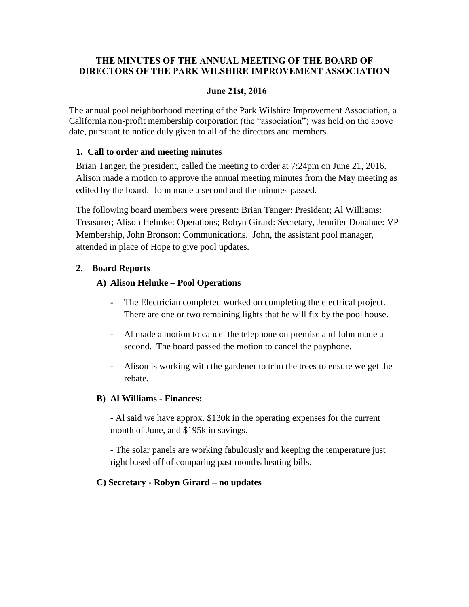## **THE MINUTES OF THE ANNUAL MEETING OF THE BOARD OF DIRECTORS OF THE PARK WILSHIRE IMPROVEMENT ASSOCIATION**

#### **June 21st, 2016**

The annual pool neighborhood meeting of the Park Wilshire Improvement Association, a California non-profit membership corporation (the "association") was held on the above date, pursuant to notice duly given to all of the directors and members.

#### **1. Call to order and meeting minutes**

Brian Tanger, the president, called the meeting to order at 7:24pm on June 21, 2016. Alison made a motion to approve the annual meeting minutes from the May meeting as edited by the board. John made a second and the minutes passed.

The following board members were present: Brian Tanger: President; Al Williams: Treasurer; Alison Helmke: Operations; Robyn Girard: Secretary, Jennifer Donahue: VP Membership, John Bronson: Communications. John, the assistant pool manager, attended in place of Hope to give pool updates.

## **2. Board Reports**

## **A) Alison Helmke – Pool Operations**

- The Electrician completed worked on completing the electrical project. There are one or two remaining lights that he will fix by the pool house.
- Al made a motion to cancel the telephone on premise and John made a second. The board passed the motion to cancel the payphone.
- Alison is working with the gardener to trim the trees to ensure we get the rebate.

## **B) Al Williams - Finances:**

- Al said we have approx. \$130k in the operating expenses for the current month of June, and \$195k in savings.

- The solar panels are working fabulously and keeping the temperature just right based off of comparing past months heating bills.

## **C) Secretary - Robyn Girard – no updates**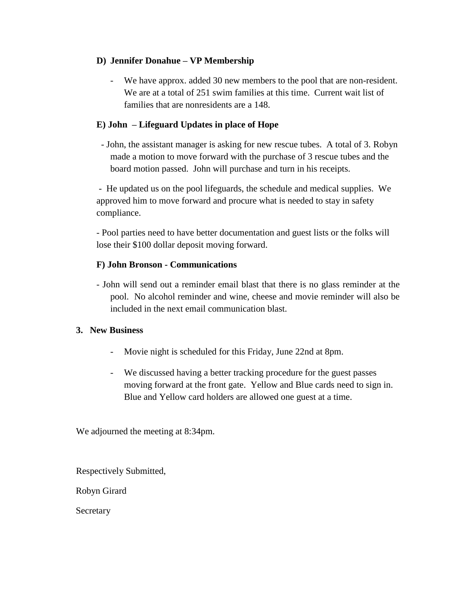## **D) Jennifer Donahue – VP Membership**

We have approx. added 30 new members to the pool that are non-resident. We are at a total of 251 swim families at this time. Current wait list of families that are nonresidents are a 148.

## **E) John – Lifeguard Updates in place of Hope**

 - John, the assistant manager is asking for new rescue tubes. A total of 3. Robyn made a motion to move forward with the purchase of 3 rescue tubes and the board motion passed. John will purchase and turn in his receipts.

- He updated us on the pool lifeguards, the schedule and medical supplies. We approved him to move forward and procure what is needed to stay in safety compliance.

- Pool parties need to have better documentation and guest lists or the folks will lose their \$100 dollar deposit moving forward.

## **F) John Bronson - Communications**

- John will send out a reminder email blast that there is no glass reminder at the pool. No alcohol reminder and wine, cheese and movie reminder will also be included in the next email communication blast.

## **3. New Business**

- Movie night is scheduled for this Friday, June 22nd at 8pm.
- We discussed having a better tracking procedure for the guest passes moving forward at the front gate. Yellow and Blue cards need to sign in. Blue and Yellow card holders are allowed one guest at a time.

We adjourned the meeting at 8:34pm.

Respectively Submitted,

Robyn Girard

Secretary